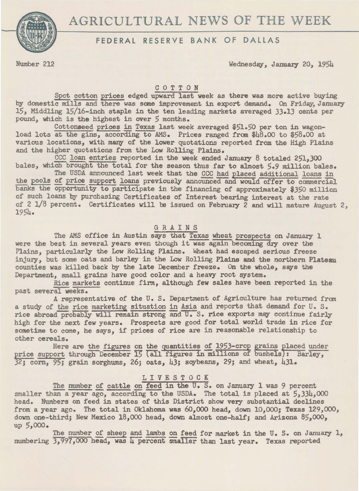# AGRICULTURAL NEWS OF THE WEEK



# FEDERAL RESERVE BANK OF DALLAS

Number 212 Wednesday, January 20, 1954

# C 0 T T 0 N

Spot cotton prices edged upward last week as there was more active buying by domestic mills and there was some improvement in export demand. On Friday, January 15, Middling 15/16-inch staple in the ten leading markets averaged 33.13 cents per pound, which is the highest in over 5 months.

Cottonseed prices in Texas last week averaged \$51.50 per ton in wagonload lots at the gins, according to AMS. Prices ranged from \$48.00 to \$58.00 at various locations, with many of the lower quotations reported from the High Plains and the higher quotations from the Low Rolling Plains.

CCC loan entries reported in the week ended January 8 totaled 251,300 bales, which brought the total for the season thus far to almost 5.9 million bales.

The USDA announced last week that the CCC had placed additional loans in the pools of price support loans previously announced and would offer to commercial banks the opportunity to participate in the financing of approximately *\$350* million of such loans by purchasing Certificates of Interest bearing interest at the rate of 2  $1/8$  percent. Certificates will be issued on February 2 and will mature August 2,  $1954.$ 

### GRAINS

The AMS office in Austin says that Texas wheat prospects on January 1 were the best in several years even though it was again becoming dry over the Plains, particularly the Low Rolling Plains. Wheat had escaped serious freeze injury, but some oats and barley in the Low Rolling Plains and the northern Plateau counties was killed back by the late December freeze. On the whole, says the Department, small grains have good color and a heavy root system.

Rice markets continue firm, although few sales have been reported in the past several weeks.

A representative of the U. s. Department of Agriculture has returned fran a study of the rice marketing situation in Asia and reports that demand for U. S. rice abroad probably will remain strong and U.S. rice exports may continue fairly high for the next few years. Prospects are good for total world trade in rice for sometime to come, he says, if prices of rice are in reasonable relationship to other cereals.

Here are the figures on the quantities of 1953-crop grains placed under price support through December 15 (all figures in millions of bushels): Barley,  $\frac{32}{3}$ ; corn,  $\frac{95}{3}$ ; grain sorghums, 26; oats, 43; soybeans, 29; and wheat, 431.

# L I V E S T 0 C K

The number of cattle on feed in the U.S. on January 1 was 9 percent smaller than a year ago, according to the USDA. The total is placed at 5,334,000 head. Numbers on feed in states of this District show very substantial declines from a year ago. The total in Oklahoma was *60,000* head, down *10,000;* Texas 129,000, down one-third; New Mexico 18,000 head, down almost one-half; and Arizona 85,000, up 5,000.

The number of sheep and lambs on feed for market in the U. S. on January 1, numbering 3,997,000 head, was 4 percent smaller than last year. Texas reported